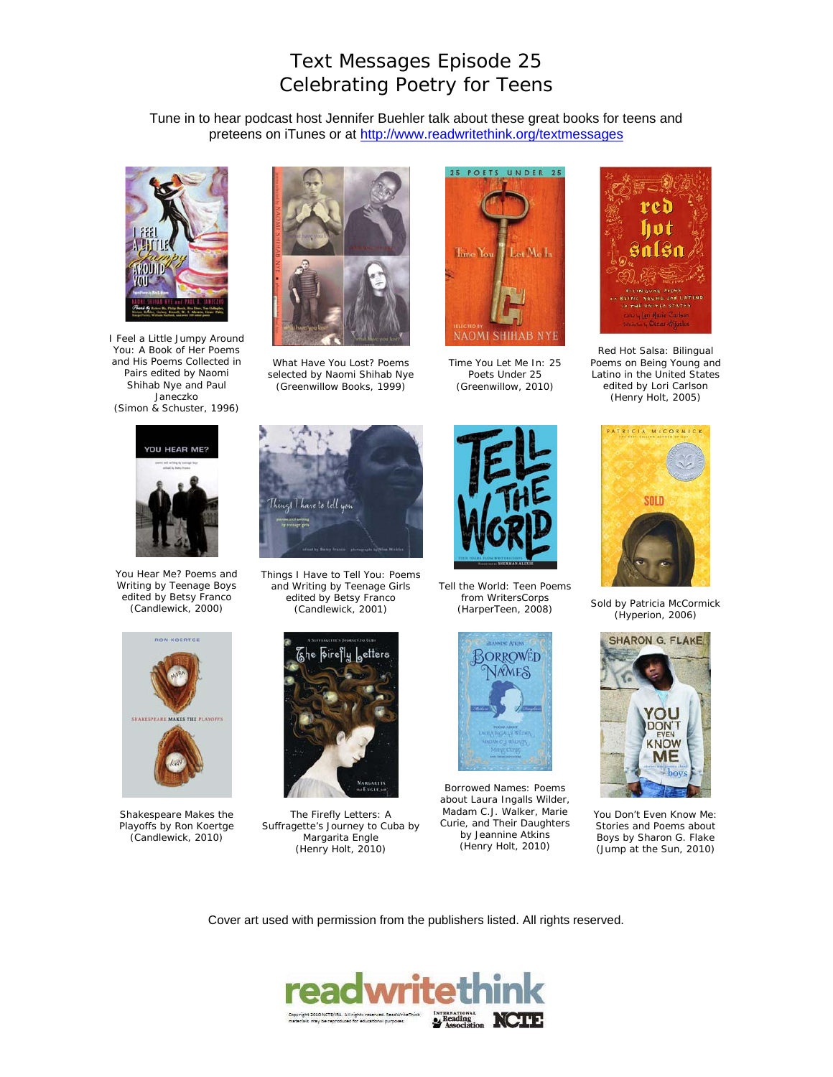## Text Messages Episode 25 Celebrating Poetry for Teens

Tune in to hear podcast host Jennifer Buehler talk about these great books for teens and preteens on iTunes or at http://www.readwritethink.org/textmessages



*I Feel a Little Jumpy Around You: A Book of Her Poems and His Poems Collected in Pairs* edited by Naomi Shihab Nye and Paul Janeczko (Simon & Schuster, 1996)



*What Have You Lost?* Poems selected by Naomi Shihab Nye (Greenwillow Books, 1999)



*Time You Let Me In: 25 Poets Under 25* (Greenwillow, 2010)



*Red Hot Salsa: Bilingual Poems on Being Young and Latino in the United States* edited by Lori Carlson (Henry Holt, 2005)



*You Hear Me? Poems and Writing by Teenage Boys* edited by Betsy Franco (Candlewick, 2000)





*Shakespeare Makes the Playoffs* by Ron Koertge (Candlewick, 2010)



*Things I Have to Tell You: Poems and Writing by Teenage Girls* edited by Betsy Franco (Candlewick, 2001)



*The Firefly Letters: A Suffragette's Journey to Cuba* by Margarita Engle (Henry Holt, 2010)



*Tell the World: Teen Poems from WritersCorp*s



*Borrowed Names: Poems about Laura Ingalls Wilder, Madam C.J. Walker, Marie Curie, and Their Daughters* by Jeannine Atkins (Henry Holt, 2010)



**From WriterScorps**<br>(HarperTeen, 2008) *Sold* by Patricia McCormick (Hyperion, 2006)



*You Don't Even Know Me: Stories and Poems about Boys* by Sharon G. Flake (Jump at the Sun, 2010)

Cover art used with permission from the publishers listed. All rights reserved.